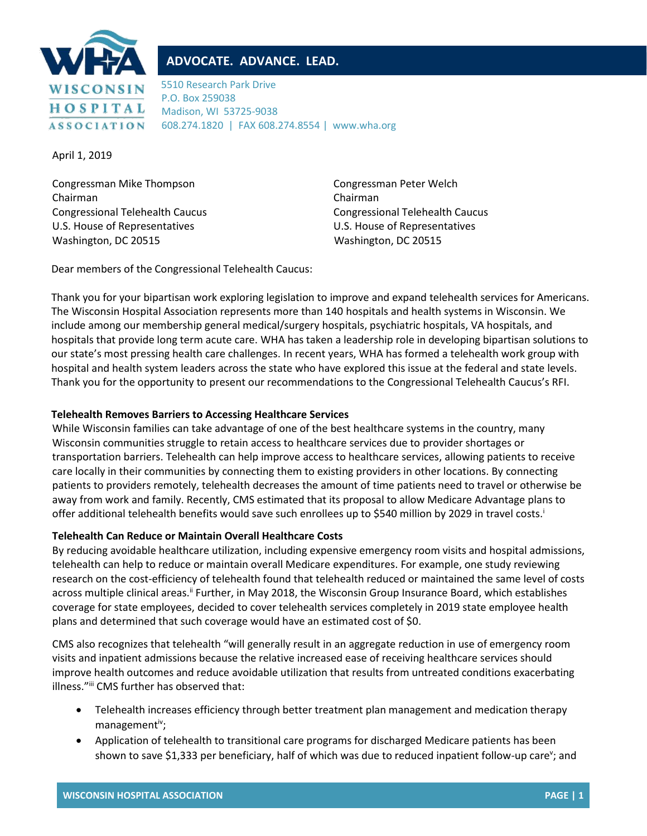

## **ADVOCATE. ADVANCE. LEAD.**

5510 Research Park Drive P.O. Box 259038 Madison, WI 53725-9038 608.274.1820 | FAX 608.274.8554 | www.wha.org

April 1, 2019

Congressman Mike Thompson Chairman Congressional Telehealth Caucus U.S. House of Representatives Washington, DC 20515

 Congressman Peter Welch Chairman Congressional Telehealth Caucus U.S. House of Representatives Washington, DC 20515

Dear members of the Congressional Telehealth Caucus:

Thank you for your bipartisan work exploring legislation to improve and expand telehealth services for Americans. The Wisconsin Hospital Association represents more than 140 hospitals and health systems in Wisconsin. We include among our membership general medical/surgery hospitals, psychiatric hospitals, VA hospitals, and hospitals that provide long term acute care. WHA has taken a leadership role in developing bipartisan solutions to our state's most pressing health care challenges. In recent years, WHA has formed a telehealth work group with hospital and health system leaders across the state who have explored this issue at the federal and state levels. Thank you for the opportunity to present our recommendations to the Congressional Telehealth Caucus's RFI.

## **Telehealth Removes Barriers to Accessing Healthcare Services**

While Wisconsin families can take advantage of one of the best healthcare systems in the country, many Wisconsin communities struggle to retain access to healthcare services due to provider shortages or transportation barriers. Telehealth can help improve access to healthcare services, allowing patients to receive care locally in their communities by connecting them to existing providers in other locations. By connecting patients to providers remotely, telehealth decreases the amount of time patients need to travel or otherwise be away from work and family. Recently, CMS estimated that its proposal to allow Medicare Advantage plans to offer additional telehealth benefits would save such enrollees up to \$540 million by 2029 in travel costs.<sup>1</sup>

## **Telehealth Can Reduce or Maintain Overall Healthcare Costs**

By reducing avoidable healthcare utilization, including expensive emergency room visits and hospital admissions, telehealth can help to reduce or maintain overall Medicare expenditures. For example, one study reviewing research on the cost-efficiency of telehealth found that telehealth reduced or maintained the same level of costs across multiple clinical areas.<sup>ii</sup> Further, in May 2018, the Wisconsin Group Insurance Board, which establishes coverage for state employees, decided to cover telehealth services completely in 2019 state employee health plans and determined that such coverage would have an estimated cost of \$0.

CMS also recognizes that telehealth "will generally result in an aggregate reduction in use of emergency room visits and inpatient admissions because the relative increased ease of receiving healthcare services should improve health outcomes and reduce avoidable utilization that results from untreated conditions exacerbating illness."iii CMS further has observed that:

- Telehealth increases efficiency through better treatment plan management and medication therapy management<sup>iv</sup>;
- Application of telehealth to transitional care programs for discharged Medicare patients has been shown to save \$1,333 per beneficiary, half of which was due to reduced inpatient follow-up care<sup>v</sup>; and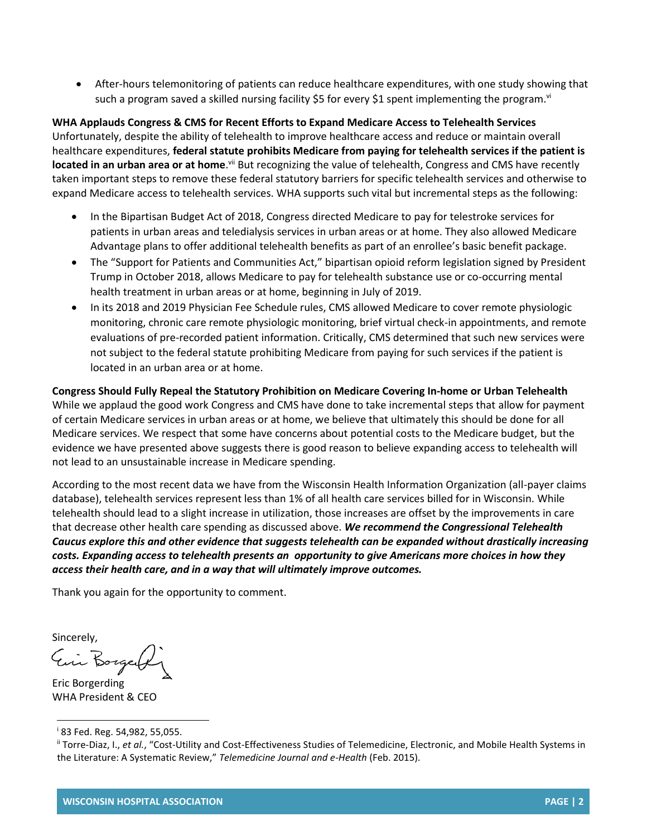• After-hours telemonitoring of patients can reduce healthcare expenditures, with one study showing that such a program saved a skilled nursing facility \$5 for every \$1 spent implementing the program.<sup>vi</sup>

**WHA Applauds Congress & CMS for Recent Efforts to Expand Medicare Access to Telehealth Services** Unfortunately, despite the ability of telehealth to improve healthcare access and reduce or maintain overall healthcare expenditures, **federal statute prohibits Medicare from paying for telehealth services if the patient is located in an urban area or at home**.<sup>vii</sup> But recognizing the value of telehealth, Congress and CMS have recently taken important steps to remove these federal statutory barriers for specific telehealth services and otherwise to expand Medicare access to telehealth services. WHA supports such vital but incremental steps as the following:

- In the Bipartisan Budget Act of 2018, Congress directed Medicare to pay for telestroke services for patients in urban areas and teledialysis services in urban areas or at home. They also allowed Medicare Advantage plans to offer additional telehealth benefits as part of an enrollee's basic benefit package.
- The "Support for Patients and Communities Act," bipartisan opioid reform legislation signed by President Trump in October 2018, allows Medicare to pay for telehealth substance use or co-occurring mental health treatment in urban areas or at home, beginning in July of 2019.
- In its 2018 and 2019 Physician Fee Schedule rules, CMS allowed Medicare to cover remote physiologic monitoring, chronic care remote physiologic monitoring, brief virtual check-in appointments, and remote evaluations of pre-recorded patient information. Critically, CMS determined that such new services were not subject to the federal statute prohibiting Medicare from paying for such services if the patient is located in an urban area or at home.

**Congress Should Fully Repeal the Statutory Prohibition on Medicare Covering In-home or Urban Telehealth** While we applaud the good work Congress and CMS have done to take incremental steps that allow for payment of certain Medicare services in urban areas or at home, we believe that ultimately this should be done for all Medicare services. We respect that some have concerns about potential costs to the Medicare budget, but the evidence we have presented above suggests there is good reason to believe expanding access to telehealth will not lead to an unsustainable increase in Medicare spending.

According to the most recent data we have from the Wisconsin Health Information Organization (all-payer claims database), telehealth services represent less than 1% of all health care services billed for in Wisconsin. While telehealth should lead to a slight increase in utilization, those increases are offset by the improvements in care that decrease other health care spending as discussed above. *We recommend the Congressional Telehealth Caucus explore this and other evidence that suggests telehealth can be expanded without drastically increasing costs. Expanding access to telehealth presents an opportunity to give Americans more choices in how they access their health care, and in a way that will ultimately improve outcomes.*

Thank you again for the opportunity to comment.

Sincerely,<br>Ein Borgerf

Eric Borgerding WHA President & CEO

 $\overline{a}$ 

<sup>i</sup> 83 Fed. Reg. 54,982, 55,055.

ii Torre-Diaz, I., *et al.*, "Cost-Utility and Cost-Effectiveness Studies of Telemedicine, Electronic, and Mobile Health Systems in the Literature: A Systematic Review," *Telemedicine Journal and e-Health* (Feb. 2015).